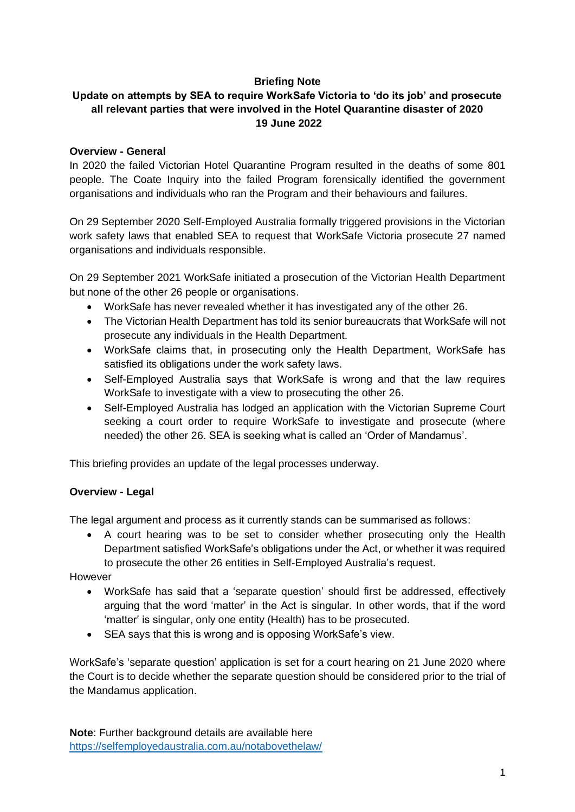## **Briefing Note**

# **Update on attempts by SEA to require WorkSafe Victoria to 'do its job' and prosecute all relevant parties that were involved in the Hotel Quarantine disaster of 2020 19 June 2022**

### **Overview - General**

In 2020 the failed Victorian Hotel Quarantine Program resulted in the deaths of some 801 people. The Coate Inquiry into the failed Program forensically identified the government organisations and individuals who ran the Program and their behaviours and failures.

On 29 September 2020 Self-Employed Australia formally triggered provisions in the Victorian work safety laws that enabled SEA to request that WorkSafe Victoria prosecute 27 named organisations and individuals responsible.

On 29 September 2021 WorkSafe initiated a prosecution of the Victorian Health Department but none of the other 26 people or organisations.

- WorkSafe has never revealed whether it has investigated any of the other 26.
- The Victorian Health Department has told its senior bureaucrats that WorkSafe will not prosecute any individuals in the Health Department.
- WorkSafe claims that, in prosecuting only the Health Department, WorkSafe has satisfied its obligations under the work safety laws.
- Self-Employed Australia says that WorkSafe is wrong and that the law requires WorkSafe to investigate with a view to prosecuting the other 26.
- Self-Employed Australia has lodged an application with the Victorian Supreme Court seeking a court order to require WorkSafe to investigate and prosecute (where needed) the other 26. SEA is seeking what is called an 'Order of Mandamus'.

This briefing provides an update of the legal processes underway.

## **Overview - Legal**

The legal argument and process as it currently stands can be summarised as follows:

• A court hearing was to be set to consider whether prosecuting only the Health Department satisfied WorkSafe's obligations under the Act, or whether it was required to prosecute the other 26 entities in Self-Employed Australia's request.

However

- WorkSafe has said that a 'separate question' should first be addressed, effectively arguing that the word 'matter' in the Act is singular. In other words, that if the word 'matter' is singular, only one entity (Health) has to be prosecuted.
- SEA says that this is wrong and is opposing WorkSafe's view.

WorkSafe's 'separate question' application is set for a court hearing on 21 June 2020 where the Court is to decide whether the separate question should be considered prior to the trial of the Mandamus application.

**Note**: Further background details are available here <https://selfemployedaustralia.com.au/notabovethelaw/>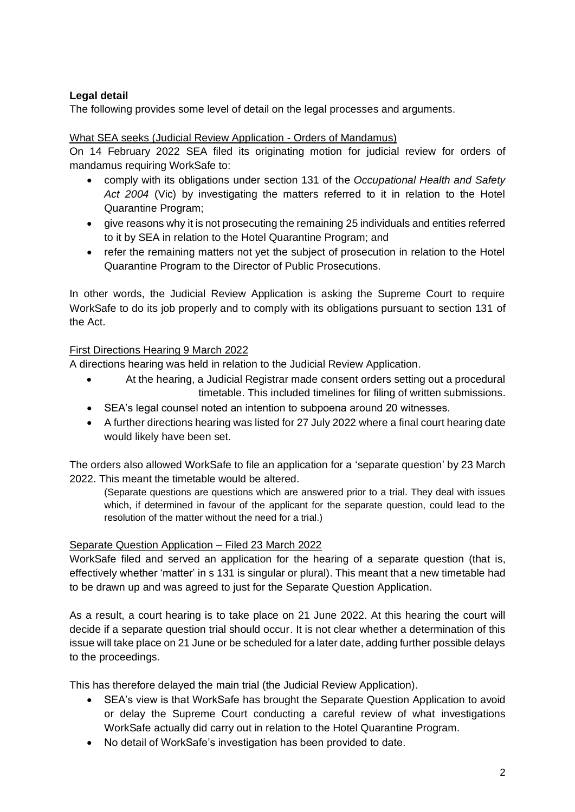# **Legal detail**

The following provides some level of detail on the legal processes and arguments.

### What SEA seeks (Judicial Review Application - Orders of Mandamus)

On 14 February 2022 SEA filed its originating motion for judicial review for orders of mandamus requiring WorkSafe to:

- comply with its obligations under section 131 of the *Occupational Health and Safety Act 2004* (Vic) by investigating the matters referred to it in relation to the Hotel Quarantine Program;
- give reasons why it is not prosecuting the remaining 25 individuals and entities referred to it by SEA in relation to the Hotel Quarantine Program; and
- refer the remaining matters not yet the subject of prosecution in relation to the Hotel Quarantine Program to the Director of Public Prosecutions.

In other words, the Judicial Review Application is asking the Supreme Court to require WorkSafe to do its job properly and to comply with its obligations pursuant to section 131 of the Act.

### First Directions Hearing 9 March 2022

A directions hearing was held in relation to the Judicial Review Application.

- At the hearing, a Judicial Registrar made consent orders setting out a procedural timetable. This included timelines for filing of written submissions.
- SEA's legal counsel noted an intention to subpoena around 20 witnesses.
- A further directions hearing was listed for 27 July 2022 where a final court hearing date would likely have been set.

The orders also allowed WorkSafe to file an application for a 'separate question' by 23 March 2022. This meant the timetable would be altered.

(Separate questions are questions which are answered prior to a trial. They deal with issues which, if determined in favour of the applicant for the separate question, could lead to the resolution of the matter without the need for a trial.)

## Separate Question Application – Filed 23 March 2022

WorkSafe filed and served an application for the hearing of a separate question (that is, effectively whether 'matter' in s 131 is singular or plural). This meant that a new timetable had to be drawn up and was agreed to just for the Separate Question Application.

As a result, a court hearing is to take place on 21 June 2022. At this hearing the court will decide if a separate question trial should occur. It is not clear whether a determination of this issue will take place on 21 June or be scheduled for a later date, adding further possible delays to the proceedings.

This has therefore delayed the main trial (the Judicial Review Application).

- SEA's view is that WorkSafe has brought the Separate Question Application to avoid or delay the Supreme Court conducting a careful review of what investigations WorkSafe actually did carry out in relation to the Hotel Quarantine Program.
- No detail of WorkSafe's investigation has been provided to date.